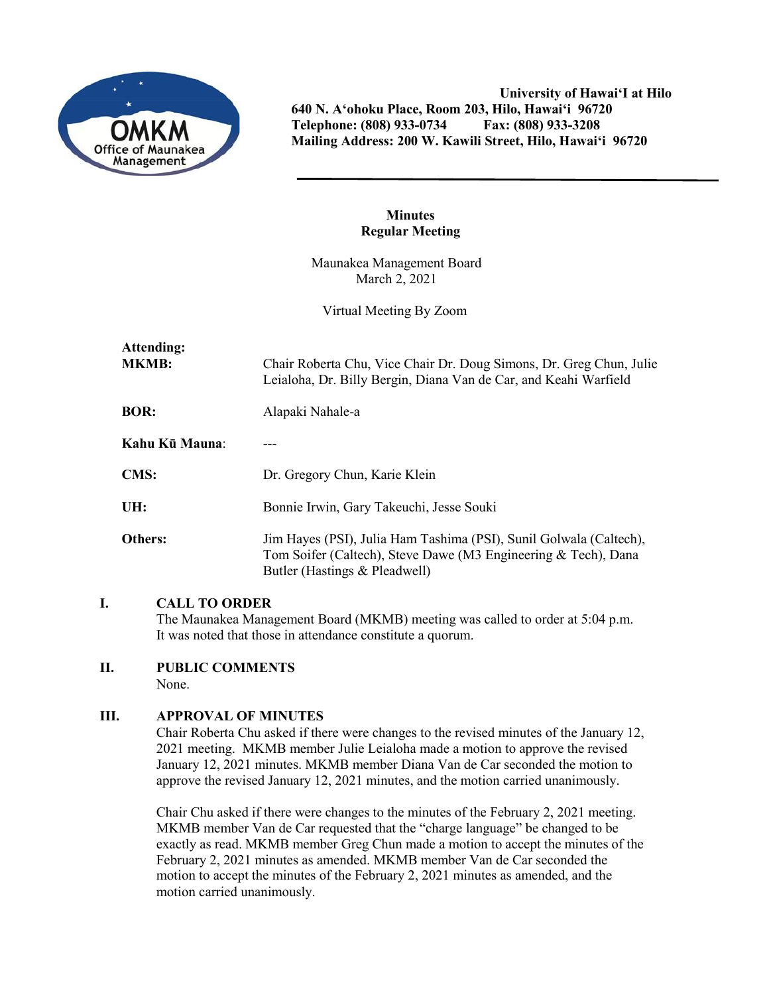

**University of Hawai'I at Hilo 640 N. A'ohoku Place, Room 203, Hilo, Hawai'i 96720 Telephone: (808) 933-0734 Fax: (808) 933-3208 Mailing Address: 200 W. Kawili Street, Hilo, Hawai'i 96720**

## **Minutes Regular Meeting**

Maunakea Management Board March 2, 2021

Virtual Meeting By Zoom

| Attending:<br><b>MKMB:</b> | Chair Roberta Chu, Vice Chair Dr. Doug Simons, Dr. Greg Chun, Julie<br>Leialoha, Dr. Billy Bergin, Diana Van de Car, and Keahi Warfield                               |
|----------------------------|-----------------------------------------------------------------------------------------------------------------------------------------------------------------------|
| <b>BOR:</b>                | Alapaki Nahale-a                                                                                                                                                      |
| Kahu Kū Mauna:             |                                                                                                                                                                       |
| <b>CMS:</b>                | Dr. Gregory Chun, Karie Klein                                                                                                                                         |
| UH:                        | Bonnie Irwin, Gary Takeuchi, Jesse Souki                                                                                                                              |
| <b>Others:</b>             | Jim Hayes (PSI), Julia Ham Tashima (PSI), Sunil Golwala (Caltech),<br>Tom Soifer (Caltech), Steve Dawe (M3 Engineering & Tech), Dana<br>Butler (Hastings & Pleadwell) |

## **I. CALL TO ORDER**

The Maunakea Management Board (MKMB) meeting was called to order at 5:04 p.m. It was noted that those in attendance constitute a quorum.

# **II. PUBLIC COMMENTS**

None.

# **III. APPROVAL OF MINUTES**

Chair Roberta Chu asked if there were changes to the revised minutes of the January 12, 2021 meeting. MKMB member Julie Leialoha made a motion to approve the revised January 12, 2021 minutes. MKMB member Diana Van de Car seconded the motion to approve the revised January 12, 2021 minutes, and the motion carried unanimously.

Chair Chu asked if there were changes to the minutes of the February 2, 2021 meeting. MKMB member Van de Car requested that the "charge language" be changed to be exactly as read. MKMB member Greg Chun made a motion to accept the minutes of the February 2, 2021 minutes as amended. MKMB member Van de Car seconded the motion to accept the minutes of the February 2, 2021 minutes as amended, and the motion carried unanimously.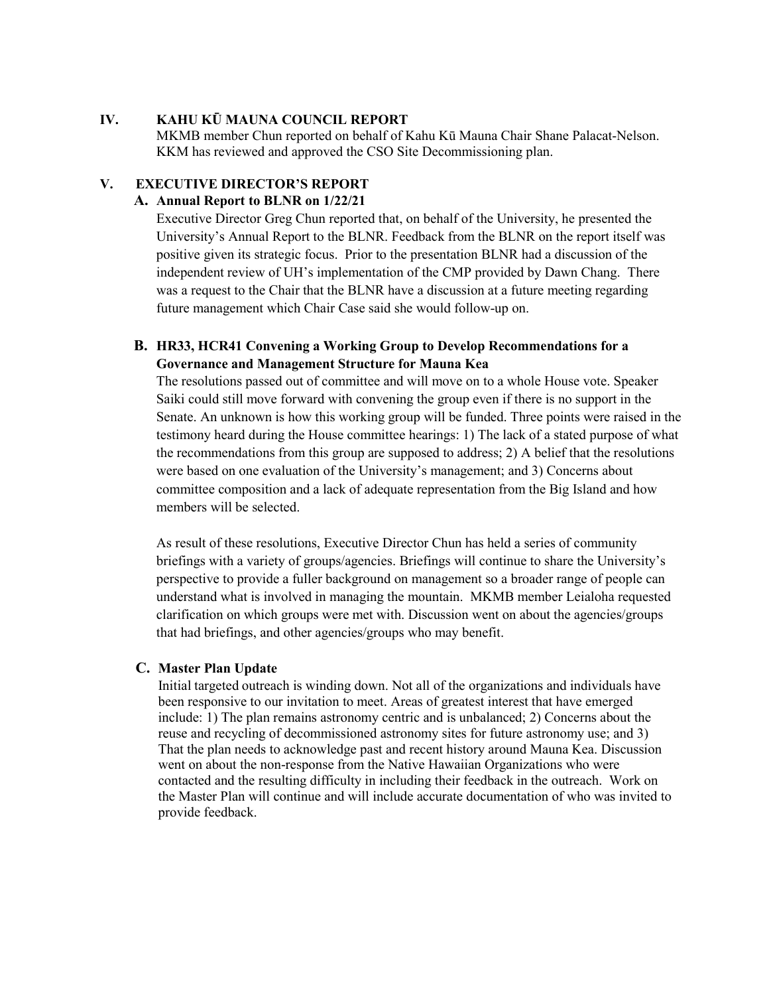## **IV. KAHU KŪ MAUNA COUNCIL REPORT**

MKMB member Chun reported on behalf of Kahu Kū Mauna Chair Shane Palacat-Nelson. KKM has reviewed and approved the CSO Site Decommissioning plan.

### **V. EXECUTIVE DIRECTOR'S REPORT**

#### **A. Annual Report to BLNR on 1/22/21**

Executive Director Greg Chun reported that, on behalf of the University, he presented the University's Annual Report to the BLNR. Feedback from the BLNR on the report itself was positive given its strategic focus. Prior to the presentation BLNR had a discussion of the independent review of UH's implementation of the CMP provided by Dawn Chang. There was a request to the Chair that the BLNR have a discussion at a future meeting regarding future management which Chair Case said she would follow-up on.

# **B. HR33, HCR41 Convening a Working Group to Develop Recommendations for a Governance and Management Structure for Mauna Kea**

The resolutions passed out of committee and will move on to a whole House vote. Speaker Saiki could still move forward with convening the group even if there is no support in the Senate. An unknown is how this working group will be funded. Three points were raised in the testimony heard during the House committee hearings: 1) The lack of a stated purpose of what the recommendations from this group are supposed to address; 2) A belief that the resolutions were based on one evaluation of the University's management; and 3) Concerns about committee composition and a lack of adequate representation from the Big Island and how members will be selected.

As result of these resolutions, Executive Director Chun has held a series of community briefings with a variety of groups/agencies. Briefings will continue to share the University's perspective to provide a fuller background on management so a broader range of people can understand what is involved in managing the mountain. MKMB member Leialoha requested clarification on which groups were met with. Discussion went on about the agencies/groups that had briefings, and other agencies/groups who may benefit.

#### **C. Master Plan Update**

Initial targeted outreach is winding down. Not all of the organizations and individuals have been responsive to our invitation to meet. Areas of greatest interest that have emerged include: 1) The plan remains astronomy centric and is unbalanced; 2) Concerns about the reuse and recycling of decommissioned astronomy sites for future astronomy use; and 3) That the plan needs to acknowledge past and recent history around Mauna Kea. Discussion went on about the non-response from the Native Hawaiian Organizations who were contacted and the resulting difficulty in including their feedback in the outreach. Work on the Master Plan will continue and will include accurate documentation of who was invited to provide feedback.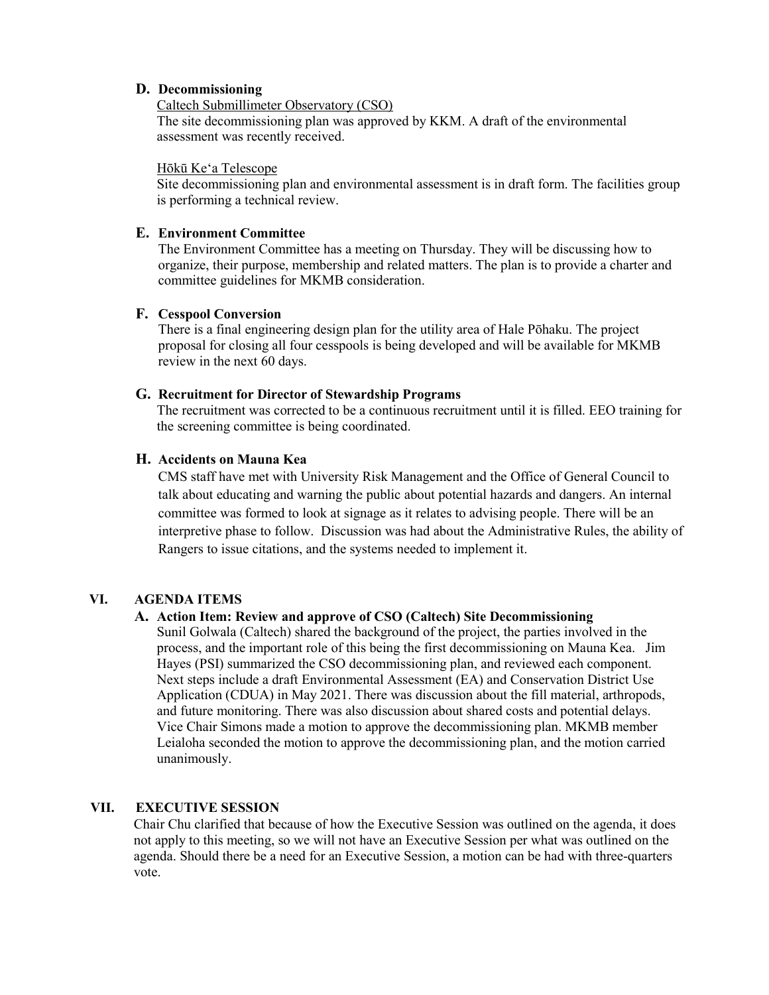### **D. Decommissioning**

### Caltech Submillimeter Observatory (CSO)

The site decommissioning plan was approved by KKM. A draft of the environmental assessment was recently received.

#### Hōkū Keʻa Telescope

Site decommissioning plan and environmental assessment is in draft form. The facilities group is performing a technical review.

### **E. Environment Committee**

The Environment Committee has a meeting on Thursday. They will be discussing how to organize, their purpose, membership and related matters. The plan is to provide a charter and committee guidelines for MKMB consideration.

#### **F. Cesspool Conversion**

There is a final engineering design plan for the utility area of Hale Pōhaku. The project proposal for closing all four cesspools is being developed and will be available for MKMB review in the next 60 days.

#### **G. Recruitment for Director of Stewardship Programs**

The recruitment was corrected to be a continuous recruitment until it is filled. EEO training for the screening committee is being coordinated.

## **H. Accidents on Mauna Kea**

CMS staff have met with University Risk Management and the Office of General Council to talk about educating and warning the public about potential hazards and dangers. An internal committee was formed to look at signage as it relates to advising people. There will be an interpretive phase to follow. Discussion was had about the Administrative Rules, the ability of Rangers to issue citations, and the systems needed to implement it.

## **VI. AGENDA ITEMS**

## **A. Action Item: Review and approve of CSO (Caltech) Site Decommissioning**

Sunil Golwala (Caltech) shared the background of the project, the parties involved in the process, and the important role of this being the first decommissioning on Mauna Kea. Jim Hayes (PSI) summarized the CSO decommissioning plan, and reviewed each component. Next steps include a draft Environmental Assessment (EA) and Conservation District Use Application (CDUA) in May 2021. There was discussion about the fill material, arthropods, and future monitoring. There was also discussion about shared costs and potential delays. Vice Chair Simons made a motion to approve the decommissioning plan. MKMB member Leialoha seconded the motion to approve the decommissioning plan, and the motion carried unanimously.

## **VII. EXECUTIVE SESSION**

Chair Chu clarified that because of how the Executive Session was outlined on the agenda, it does not apply to this meeting, so we will not have an Executive Session per what was outlined on the agenda. Should there be a need for an Executive Session, a motion can be had with three-quarters vote.